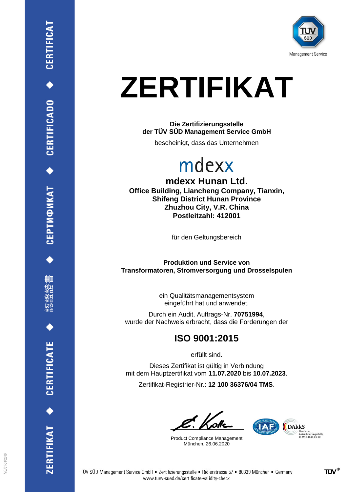

# **ZERTIFIKAT**

**Die Zertifizierungsstelle der TÜV SÜD Management Service GmbH**

bescheinigt, dass das Unternehmen

### mdexx

**mdexx Hunan Ltd. Office Building, Liancheng Company, Tianxin, Shifeng District Hunan Province Zhuzhou City, V.R. China Postleitzahl: 412001**

für den Geltungsbereich

**Produktion und Service von Transformatoren, Stromversorgung und Drosselspulen**

> ein Qualitätsmanagementsystem eingeführt hat und anwendet.

Durch ein Audit, Auftrags-Nr. **70751994**, wurde der Nachweis erbracht, dass die Forderungen der

#### **ISO 9001:2015**

erfüllt sind.

Dieses Zertifikat ist gültig in Verbindung mit dem Hauptzertifikat vom **11.07.2020** bis **10.07.2023**.

Zertifikat-Registrier-Nr.: **12 100 36376/04 TMS**.

Product Compliance Management München, 26.06.2020



ERTIFIKAT<sup>+</sup>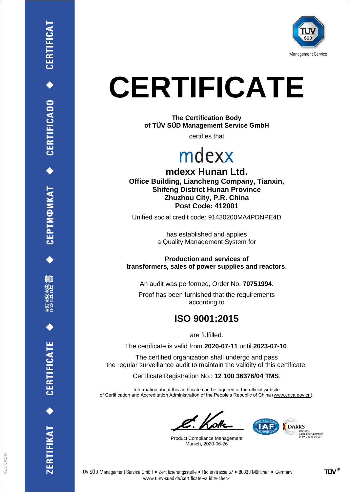

# **CERTIFICATE**

**The Certification Body of TÜV SÜD Management Service GmbH**

certifies that

### mdexx

**mdexx Hunan Ltd. Office Building, Liancheng Company, Tianxin, Shifeng District Hunan Province Zhuzhou City, P.R. China Post Code: 412001**

Unified social credit code: 91430200MA4PDNPE4D

has established and applies a Quality Management System for

**Production and services of transformers, sales of power supplies and reactors**.

An audit was performed, Order No. **70751994**.

Proof has been furnished that the requirements according to

#### **ISO 9001:2015**

are fulfilled.

The certificate is valid from **2020-07-11** until **2023-07-10**.

The certified organization shall undergo and pass the regular surveillance audit to maintain the validity of this certificate.

Certificate Registration No.: **12 100 36376/04 TMS**.

Information about this certificate can be inquired at the official website of Certification and Accreditation Administration of the People's Republic of China (www.cnca.gov.cn).

Product Compliance Management Munich, 2020-06-26







ERTIFIKAT <